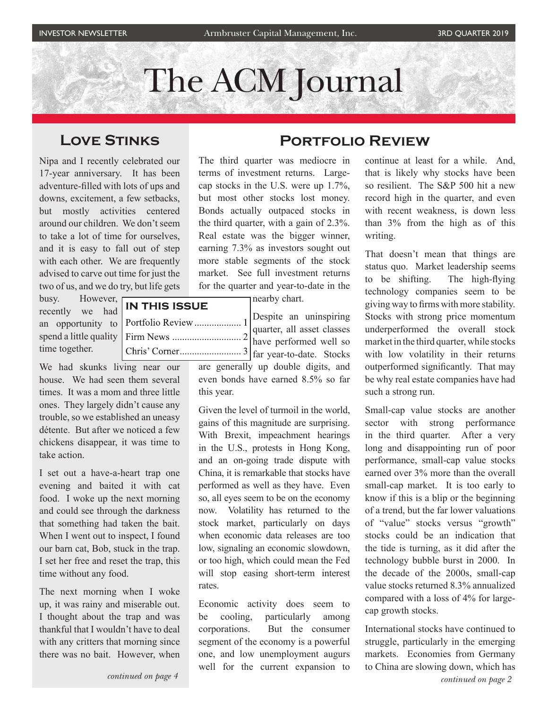# The ACM Journal

# **Love Stinks**

Nipa and I recently celebrated our 17-year anniversary. It has been adventure-filled with lots of ups and downs, excitement, a few setbacks, but mostly activities centered around our children. We don't seem to take a lot of time for ourselves, and it is easy to fall out of step with each other. We are frequently advised to carve out time for just the two of us, and we do try, but life gets

busy. However, recently we had an opportunity to spend a little quality time together.

We had skunks living near our house. We had seen them several times. It was a mom and three little ones. They largely didn't cause any trouble, so we established an uneasy détente. But after we noticed a few chickens disappear, it was time to take action.

I set out a have-a-heart trap one evening and baited it with cat food. I woke up the next morning and could see through the darkness that something had taken the bait. When I went out to inspect, I found our barn cat, Bob, stuck in the trap. I set her free and reset the trap, this time without any food.

The next morning when I woke up, it was rainy and miserable out. I thought about the trap and was thankful that I wouldn't have to deal with any critters that morning since there was no bait. However, when

# **Portfolio Review**

The third quarter was mediocre in terms of investment returns. Largecap stocks in the U.S. were up 1.7%, but most other stocks lost money. Bonds actually outpaced stocks in the third quarter, with a gain of 2.3%. Real estate was the bigger winner, earning 7.3% as investors sought out more stable segments of the stock market. See full investment returns for the quarter and year-to-date in the

nearby chart.

quarter, all asset classes have performed well so far year-to-date. Stocks

> are generally up double digits, and even bonds have earned 8.5% so far this year.

> Given the level of turmoil in the world, gains of this magnitude are surprising. With Brexit, impeachment hearings in the U.S., protests in Hong Kong, and an on-going trade dispute with China, it is remarkable that stocks have performed as well as they have. Even so, all eyes seem to be on the economy now. Volatility has returned to the stock market, particularly on days when economic data releases are too low, signaling an economic slowdown, or too high, which could mean the Fed will stop easing short-term interest rates.

> Economic activity does seem to be cooling, particularly among corporations. But the consumer segment of the economy is a powerful one, and low unemployment augurs well for the current expansion to

continue at least for a while. And, that is likely why stocks have been so resilient. The S&P 500 hit a new record high in the quarter, and even with recent weakness, is down less than 3% from the high as of this writing.

That doesn't mean that things are status quo. Market leadership seems to be shifting. The high-flying technology companies seem to be giving way to firms with more stability. Stocks with strong price momentum underperformed the overall stock market in the third quarter, while stocks with low volatility in their returns outperformed significantly. That may be why real estate companies have had such a strong run.

Small-cap value stocks are another sector with strong performance in the third quarter. After a very long and disappointing run of poor performance, small-cap value stocks earned over 3% more than the overall small-cap market. It is too early to know if this is a blip or the beginning of a trend, but the far lower valuations of "value" stocks versus "growth" stocks could be an indication that the tide is turning, as it did after the technology bubble burst in 2000. In the decade of the 2000s, small-cap value stocks returned 8.3% annualized compared with a loss of 4% for largecap growth stocks.

International stocks have continued to struggle, particularly in the emerging markets. Economies from Germany to China are slowing down, which has *continued on page 2*

**IN THIS ISSUE** Despite an uninspiring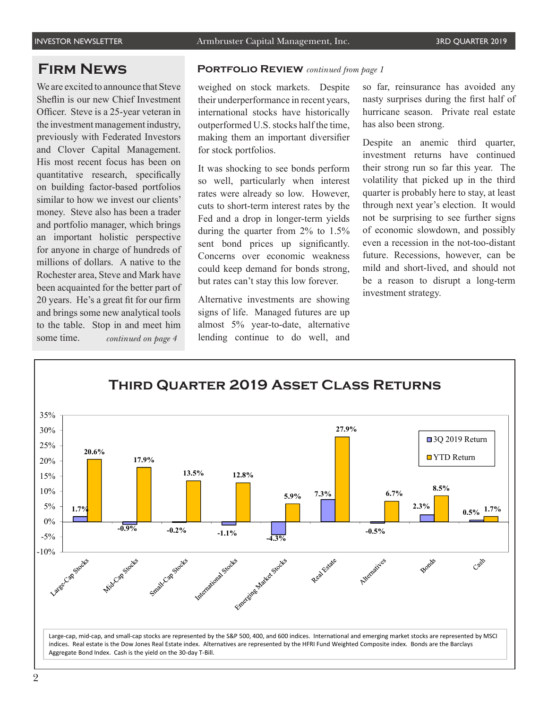We are excited to announce that Steve Sheflin is our new Chief Investment Officer. Steve is a 25-year veteran in the investment management industry, previously with Federated Investors and Clover Capital Management. His most recent focus has been on quantitative research, specifically on building factor-based portfolios similar to how we invest our clients' money. Steve also has been a trader and portfolio manager, which brings an important holistic perspective for anyone in charge of hundreds of millions of dollars. A native to the Rochester area, Steve and Mark have been acquainted for the better part of 20 years. He's a great fit for our firm and brings some new analytical tools to the table. Stop in and meet him some time. *continued on page 4*

#### **Firm News Portfolio Review** *continued from page 1*

weighed on stock markets. Despite their underperformance in recent years, international stocks have historically outperformed U.S. stocks half the time, making them an important diversifier for stock portfolios.

It was shocking to see bonds perform so well, particularly when interest rates were already so low. However, cuts to short-term interest rates by the Fed and a drop in longer-term yields during the quarter from 2% to 1.5% sent bond prices up significantly. Concerns over economic weakness could keep demand for bonds strong, but rates can't stay this low forever.

Alternative investments are showing signs of life. Managed futures are up almost 5% year-to-date, alternative lending continue to do well, and

so far, reinsurance has avoided any nasty surprises during the first half of hurricane season. Private real estate has also been strong.

Despite an anemic third quarter, investment returns have continued their strong run so far this year. The volatility that picked up in the third quarter is probably here to stay, at least through next year's election. It would not be surprising to see further signs of economic slowdown, and possibly even a recession in the not-too-distant future. Recessions, however, can be mild and short-lived, and should not be a reason to disrupt a long-term investment strategy.

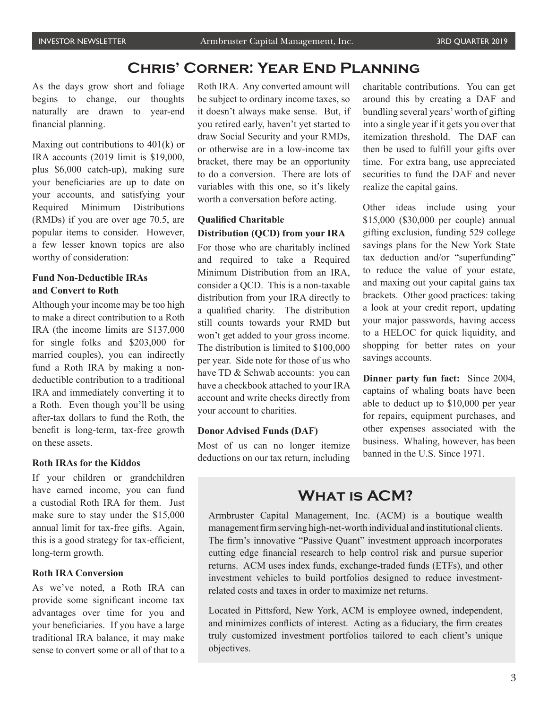# **Chris' Corner: Year End Planning**

As the days grow short and foliage begins to change, our thoughts naturally are drawn to year-end financial planning.

Maxing out contributions to  $401(k)$  or IRA accounts (2019 limit is \$19,000, plus \$6,000 catch-up), making sure your beneficiaries are up to date on your accounts, and satisfying your Required Minimum Distributions (RMDs) if you are over age 70.5, are popular items to consider. However, a few lesser known topics are also worthy of consideration:

#### **Fund Non-Deductible IRAs and Convert to Roth**

Although your income may be too high to make a direct contribution to a Roth IRA (the income limits are \$137,000 for single folks and \$203,000 for married couples), you can indirectly fund a Roth IRA by making a nondeductible contribution to a traditional IRA and immediately converting it to a Roth. Even though you'll be using after-tax dollars to fund the Roth, the benefit is long-term, tax-free growth on these assets.

#### **Roth IRAs for the Kiddos**

If your children or grandchildren have earned income, you can fund a custodial Roth IRA for them. Just make sure to stay under the \$15,000 annual limit for tax-free gifts. Again, this is a good strategy for tax-efficient, long-term growth.

#### **Roth IRA Conversion**

As we've noted, a Roth IRA can provide some significant income tax advantages over time for you and your beneficiaries. If you have a large traditional IRA balance, it may make sense to convert some or all of that to a

Roth IRA. Any converted amount will be subject to ordinary income taxes, so it doesn't always make sense. But, if you retired early, haven't yet started to draw Social Security and your RMDs, or otherwise are in a low-income tax bracket, there may be an opportunity to do a conversion. There are lots of variables with this one, so it's likely worth a conversation before acting.

#### **Qualified Charitable Distribution (QCD) from your IRA**

For those who are charitably inclined and required to take a Required Minimum Distribution from an IRA, consider a QCD. This is a non-taxable distribution from your IRA directly to a qualified charity. The distribution still counts towards your RMD but won't get added to your gross income. The distribution is limited to \$100,000 per year. Side note for those of us who have TD & Schwab accounts: you can have a checkbook attached to your IRA account and write checks directly from your account to charities.

#### **Donor Advised Funds (DAF)**

Most of us can no longer itemize deductions on our tax return, including charitable contributions. You can get around this by creating a DAF and bundling several years' worth of gifting into a single year if it gets you over that itemization threshold. The DAF can then be used to fulfill your gifts over time. For extra bang, use appreciated securities to fund the DAF and never realize the capital gains.

Other ideas include using your \$15,000 (\$30,000 per couple) annual gifting exclusion, funding 529 college savings plans for the New York State tax deduction and/or "superfunding" to reduce the value of your estate, and maxing out your capital gains tax brackets. Other good practices: taking a look at your credit report, updating your major passwords, having access to a HELOC for quick liquidity, and shopping for better rates on your savings accounts.

**Dinner party fun fact:** Since 2004, captains of whaling boats have been able to deduct up to \$10,000 per year for repairs, equipment purchases, and other expenses associated with the business. Whaling, however, has been banned in the U.S. Since 1971.

## **What is ACM?**

Armbruster Capital Management, Inc. (ACM) is a boutique wealth management firm serving high-net-worth individual and institutional clients. The firm's innovative "Passive Quant" investment approach incorporates cutting edge financial research to help control risk and pursue superior returns. ACM uses index funds, exchange-traded funds (ETFs), and other investment vehicles to build portfolios designed to reduce investmentrelated costs and taxes in order to maximize net returns.

Located in Pittsford, New York, ACM is employee owned, independent, and minimizes conflicts of interest. Acting as a fiduciary, the firm creates truly customized investment portfolios tailored to each client's unique objectives.